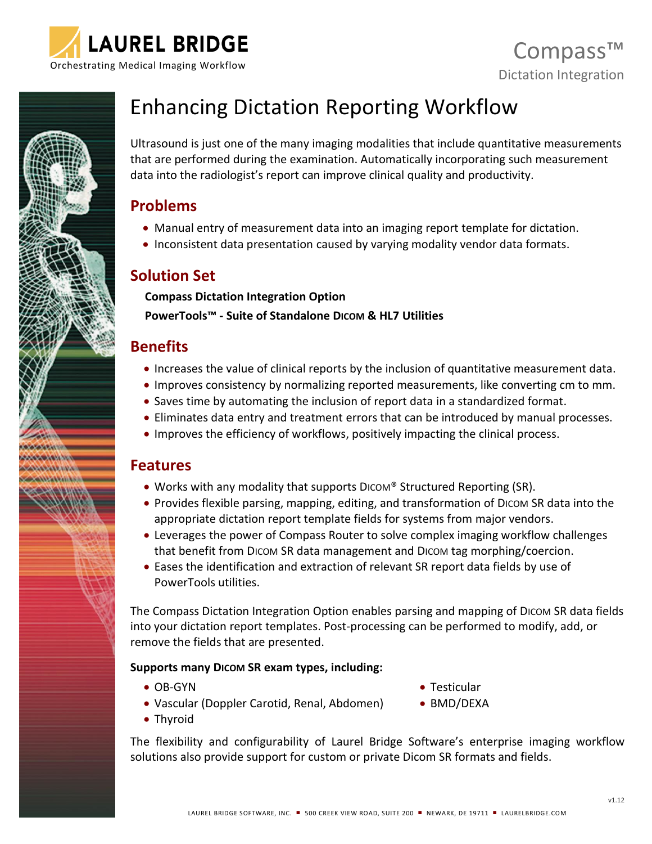



# Enhancing Dictation Reporting Workflow

Ultrasound is just one of the many imaging modalities that include quantitative measurements that are performed during the examination. Automatically incorporating such measurement data into the radiologist's report can improve clinical quality and productivity.

### **Problems**

- Manual entry of measurement data into an imaging report template for dictation.
- Inconsistent data presentation caused by varying modality vendor data formats.

# **Solution Set**

**Compass Dictation Integration Option**

**PowerTools™ - Suite of Standalone DICOM & HL7 Utilities**

# **Benefits**

- Increases the value of clinical reports by the inclusion of quantitative measurement data.
- Improves consistency by normalizing reported measurements, like converting cm to mm.
- Saves time by automating the inclusion of report data in a standardized format.
- Eliminates data entry and treatment errors that can be introduced by manual processes.
- Improves the efficiency of workflows, positively impacting the clinical process.

## **Features**

- Works with any modality that supports DICOM® Structured Reporting (SR).
- Provides flexible parsing, mapping, editing, and transformation of DICOM SR data into the appropriate dictation report template fields for systems from major vendors.
- Leverages the power of Compass Router to solve complex imaging workflow challenges that benefit from DICOM SR data management and DICOM tag morphing/coercion.
- Eases the identification and extraction of relevant SR report data fields by use of PowerTools utilities.

The Compass Dictation Integration Option enables parsing and mapping of DICOM SR data fields into your dictation report templates. Post-processing can be performed to modify, add, or remove the fields that are presented.

#### **Supports many DICOM SR exam types, including:**

- OB-GYN
- Vascular (Doppler Carotid, Renal, Abdomen)
- Thyroid

• Testicular

• BMD/DEXA

The flexibility and configurability of Laurel Bridge Software's enterprise imaging workflow solutions also provide support for custom or private Dicom SR formats and fields.